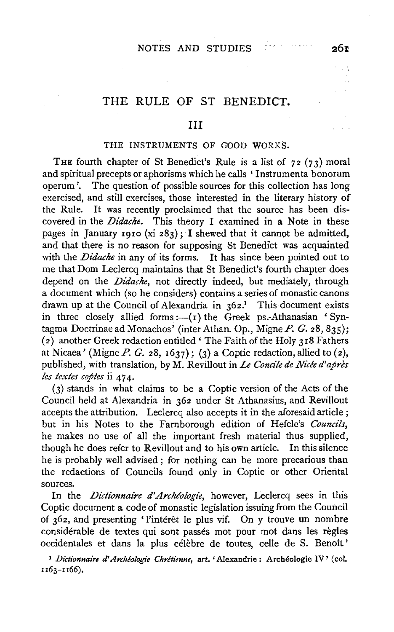# THE RULE OF ST BENEDICT.

### Ill

### THE INSTRUMENTS OF GOOD WORKS.

THE fourth chapter of St Benedict's Rule is a list of  $72$  ( $73$ ) moral and spiritual precepts or aphorisms which he calls ' Instrumenta bonorum operum '. The question of possible sources for this collection has long exercised, and still exercises, those interested in the literary history of the Rule. It was recently proclaimed that the source has been discovered in the *Didache.* This theory I examined in a Note in these pages in January 1910 (xi 283); I shewed that it cannot be admitted, and that there is no reason for supposing St Benedict was acquainted with the *Didache* in any of its forms. It has since been pointed out to me that Dom Leclercq maintains that St Benedict's fourth chapter does depend on the *Didache,* not directly indeed, but mediately, through a document which (so he considers) contains a series of monastic canons drawn up at the Council of Alexandria in  $362<sup>1</sup>$ . This document exists in three closely allied forms: $-(r)$  the Greek ps.-Athanasian 'Syntagma Doctrinae ad Monachos' (inter Athan. Op., Migne  $P. G.$  28, 835); (2) another Greek redaction entitled' The Faith of the Holy 318 Fathers at Nicaea' (Migne P. G. 28, 1637); (3) a Coptic redaction, allied to  $(z)$ , published, with translation, by M. Revillout in *Le Concile de Nide d'apres les textes coptes* ii 474.

(3) stands in what claims to be a Coptic version of the Acts of the Council held at Alexandria in 362 under St Athanasius, and Revillout accepts the attribution. Leclercq also accepts it in the aforesaid article; but in his Notes to the Farnborough edition of Hefele's *Councils,*  he makes no use of all the important fresh material thus supplied, though he does refer to Revillout and to his own article. In this silence he is probably well advised; for nothing can be more precarious than the redactions of Councils found only in Coptic or other Oriental sources.

In the *Dictionnaire d'Archéologie*, however, Leclercq sees in this Coptic document a code of monastic legislation issuing from the Council of 362, and presenting 'l'intérêt le plus vif. On y trouve un nombre considérable de textes qui sont passés mot pour mot dans les règles occidentales et dans la plus célèbre de toutes, celle de S. Benoît'

<sup>1</sup> Dictionnaire d'Archéologie Chrétienne, art. 'Alexandrie : Archéologie IV' (col. II63-II66),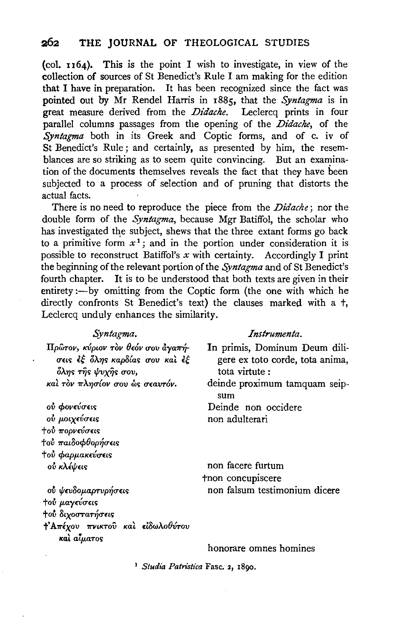(col. 1164). This is the point I wish to investigate, in view of the collection of sources of St Benedict's Rule I am making for the edition that I have in preparation. It has been recognized since the fact was pointed out by Mr Rendel Harris in 1885, that the Syntagma is in great measure derived from the Didache. Leclercq prints in four parallel columns passages from the opening of the Didache, of the Syntagma both in its Greek and Coptic forms, and of c. iv of St Benedict's Rule; and certainly, as presented by him, the resemblances are so striking as to seem quite convincing. But an examination of the documents themselves reveals the fact that they have been subjected to a process of selection and of pruning that distorts the actual facts.

There is no need to reproduce the piece from the *Didache*; nor the double form of the Syntagma, because Mgr Batiffol, the scholar who has investigated the subject, shews that the three extant forms go back to a primitive form  $x^1$ ; and in the portion under consideration it is possible to reconstruct Batiffol's  $x$  with certainty. Accordingly I print the beginning of the relevant portion of the Syntagma and of St Benedict's fourth chapter. It is to be understood that both texts are given in their entirety:- by omitting from the Coptic form (the one with which he directly confronts St Benedict's text) the clauses marked with a +, Leclercq unduly enhances the similarity.

### Syntagma.

Πρώτον, κύριον τον θεόν σου άγαπήσεις έξ όλης καρδίας σου και έξ όλης της ψυχης σου, και τον πλησίον σου ώς σεαυτόν.

ού φονεύσεις ού μοιχεύσεις τού πορνεύσεις †ού παιδοφθορήσεις τού φαρμακεύσεις ού κλέψεις

ού ψευδομαρτυρήσεις τού μαγεύσεις **+ού** διχοστατήσεις †'Απέχου πνικτού και ειδωλοθύτου και αίματος

#### Instrumenta.

In primis, Dominum Deum diligere ex toto corde, tota anima, tota virtute:

deinde proximum tamquam seipsum

Deinde non occidere non adulterari

non facere furtum tnon concupiscere non falsum testimonium dicere

honorare omnes homines

<sup>1</sup> Studia Patristica Fasc. 2, 1890.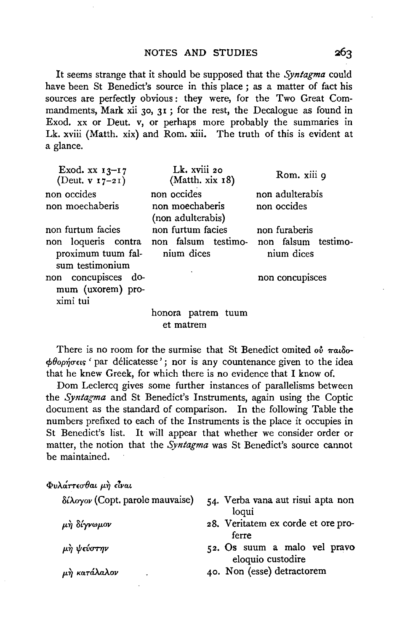It seems strange that it should be supposed that the *Syntagma* could have been St Benedict's source in this place ; as a matter of fact his sources are perfectly obvious: they were, for the Two Great Commandments, Mark xii 30, 31; for the rest, the Decalogue as found in Exod. xx or Deut. v, or perhaps more probably the summaries in Lk. xviii (Matth. xix) and Rom. xiii. The truth of this is evident at a glance.

| Exod. $xx$ $13-17$<br>(Deut. $v I7-2I$ )             | Lk. xviii 20<br>(Matth. xix 18)                                           | Rom. xiii 9     |
|------------------------------------------------------|---------------------------------------------------------------------------|-----------------|
| non occides                                          | non occides<br>non moechaberis                                            | non adulterabis |
| non moechaberis                                      | (non adulterabis)                                                         | non occides     |
| non furtum facies                                    | non furtum facies                                                         | non furaberis   |
| proximum tuum fal-<br>sum testimonium                | non loqueris contra non falsum testimo- non falsum testimo-<br>nium dices | nium dices      |
| non concupisces do-<br>mum (uxorem) pro-<br>ximi tui |                                                                           | non concupisces |
|                                                      | honora patrem tuum<br>et matrem                                           |                 |

There is no room for the surmise that St Benedict omited ov  $\pi a_{\text{r}}\delta$ o- $\phi$ θορήσεις ' par délicatesse'; nor is any countenance given to the idea that he knew Greek, for which there is no evidence that I know of.

Dom Leclercq gives some further instances of parallelisms between the *Syntagma* and St Benedict's Instruments, again using the Coptic document as the standard of comparison. In the following Table the numbers prefixed to each of the Instruments is the place it occupies in St Benedict's list. It will appear that whether we consider order or matter, the notion that the *Syntagma* was St Benedict's source cannot be maintained.

### $Φ$ υλ*άττεσθαι μη είναι*

 $\mu$ ή κατάλαλον

| $\delta$ ίλογον (Copt. parole mauvaise) | 54. Verba vana aut risui apta non<br>logui        |
|-----------------------------------------|---------------------------------------------------|
| μὴ δίγνωμον                             | 28. Veritatem ex corde et ore pro-<br>ferre       |
| μὴ ψεύστην                              | 52. Os suum a malo vel pravo<br>eloquio custodire |

40. Non (esse) detractorem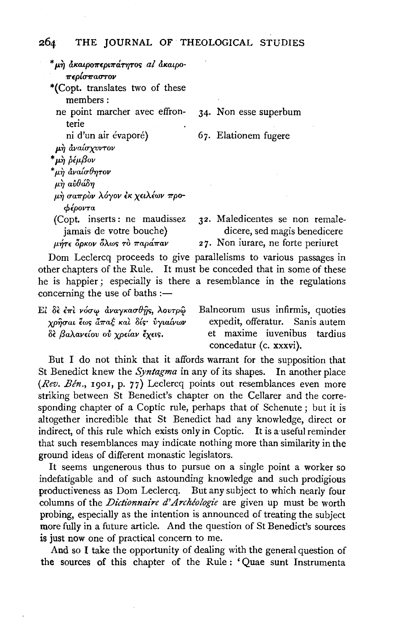| *μὴ ἀκαιροπεριπάτητος al ἀκαιρο-                                      |                                                                   |
|-----------------------------------------------------------------------|-------------------------------------------------------------------|
| περίσπαστον                                                           |                                                                   |
| *(Copt. translates two of these                                       |                                                                   |
| members:                                                              |                                                                   |
| ne point marcher avec effron-                                         | 34. Non esse superbum                                             |
| terie                                                                 |                                                                   |
| ni d'un air évaporé)                                                  | 67. Elationem fugere                                              |
| μή αναίσχυντον                                                        |                                                                   |
| * μὴ ῥέμβον                                                           |                                                                   |
| *μὴ ἀναίσθητον                                                        |                                                                   |
| $\mu$ η αυθάδη                                                        |                                                                   |
| μή σαπρὸν λόγον ἐκ χειλέων προ-                                       |                                                                   |
| φέροντα                                                               |                                                                   |
| (Copt. inserts: ne maudissez)                                         | 32. Maledicentes se non remale-                                   |
| jamais de votre bouche)                                               | dicere, sed magis benedicere                                      |
| μήτε δρκον όλως τὸ παράπαν                                            | 27. Non iurare, ne forte periuret                                 |
|                                                                       | Dom Leclercq proceeds to give parallelisms to various passages in |
| other chapters of the Rule. It must be conceded that in some of these |                                                                   |
| he is happier; especially is there a resemblance in the regulations   |                                                                   |

concerning the use of baths :-

| El δε επι νόσω αναγκασθής, λουτρω | Balneorum usus infirmis, quoties |
|-----------------------------------|----------------------------------|
| χρήσαι έως άπαξ και δίς· ύγιαίνων | expedit, offeratur. Sanis autem  |
| δε βαλανείου ού χρείαν έχεις.     | et maxime iuvenibus tardius      |
|                                   | concedatur (c. xxxvi).           |

But I do not think that it affords warrant for the supposition that St Benedict knew the Syntagma in any of its shapes. In another place (Rev. Bén., 1901, p. 77) Leclercq points out resemblances even more striking between St Benedict's chapter on the Cellarer and the corresponding chapter of a Coptic rule, perhaps that of Schenute; but it is altogether incredible that St Benedict had any knowledge, direct or indirect, of this rule which exists only in Coptic. It is a useful reminder that such resemblances may indicate nothing more than similarity in the ground ideas of different monastic legislators.

It seems ungenerous thus to pursue on a single point a worker so indefatigable and of such astounding knowledge and such prodigious productiveness as Dom Leclercq. But any subject to which nearly four columns of the *Dictionnaire d'Archéologie* are given up must be worth probing, especially as the intention is announced of treating the subject more fully in a future article. And the question of St Benedict's sources is just now one of practical concern to me.

And so I take the opportunity of dealing with the general question of the sources of this chapter of the Rule: 'Quae sunt Instrumenta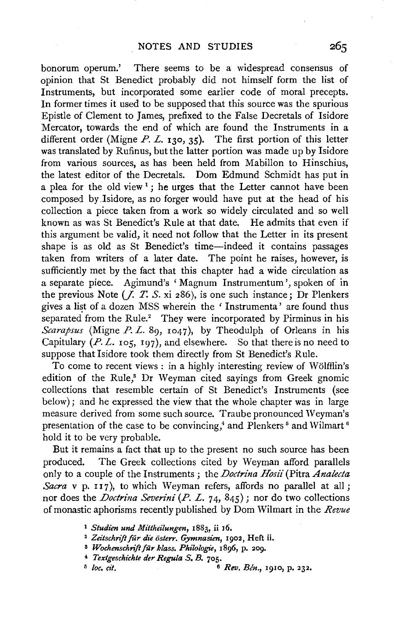bonorum operum.' There seems to be a widespread consensus of opinion that St Benedict probably did not himself form the list of Instruments, but incorporated some earlier code of moral precepts. In former times it used to be supposed that this source was the spurious Epistle of Clement to James, prefixed to the False Decretals of Isidore Mercator, towards the end of which are found the Instruments in a different order (Migne  $P. L.$  130, 35). The first portion of this letter was translated by Rufinus, but the latter portion was made up by Isidore from various sources, as has been held from Mabillon to Hinschius, the latest editor of the Decretals. Dom Edmund Schmidt has put in a plea for the old view<sup>1</sup>; he urges that the Letter cannot have been composed by .Isidore, as no forger would have put at the head of his collection a piece taken from a work so widely circulated and so well known as was St Benedict's Rule at that date. He admits that even if this argument be valid, it need not follow that the Letter in its present shape is as old as St Benedict's time—indeed it contains passages taken from writers of a later date. The point he raises, however, is sufficiently met by the fact that this chapter had a wide circulation as a separate piece. Agimund's ' Magnum Instrumentum ', spoken of in the previous Note  $(\overline{f}, T, S, x_i \cdot 286)$ , is one such instance; Dr Plenkers gives a list of a dozen MSS wherein the 'Instrumenta' are found thus separated from the Rule.<sup>2</sup> They were incorporated by Pirminus in his *Scarapsus* (Migne *P.* L. Sg, 1047), by Theodulph of Orleans in his Capitulary  $(P, L, \text{ios}, \text{197})$ , and elsewhere. So that there is no need to suppose that Isidore took them directly from St Benedict's Rule.

To come to recent views : in a highly interesting review of WOlffiin's edition of the Rule,<sup>8</sup> Dr Weyman cited sayings from Greek gnomic collections that resemble certain of St Benedict's Instruments (see below) ; and he expressed the view that the whole chapter was in large measure derived from some such source. Traube pronounced Weyman's presentation of the case to be convincing,<sup>4</sup> and Plenkers<sup>5</sup> and Wilmart<sup>6</sup> hold it to be very probable.

But it remains a fact that up to the present no such source has been produced. The Greek collections cited by Weyman afford parallels only to a couple of the Instruments ; the *Doctrina Hosii* (Pitra *Analecta Sacra* v p. 117), to which Weyman refers, affords no parallel at all; nor does the *Doctrina Seven'ni* (P. L. 74, 845); nor do two collections of monastic aphorisms recently published by Dom Wilmart in the *Revue* 

<sup>1</sup>*Studien und Mittheilungen,* 1883, ii 16. 2 *Zeitschriftfur d1'e osterr. Gymnasien,* 1902, Heft ii.

<sup>8</sup>*Wochenschriftfur klass. Philologie,* 1896, p. 209. 4 *Textgeschichte der Regula S. B.* 705.

<sup>&</sup>lt;sup>5</sup> *loc. cit.* **6** *Rev. Bén.*, 1910, p. 232.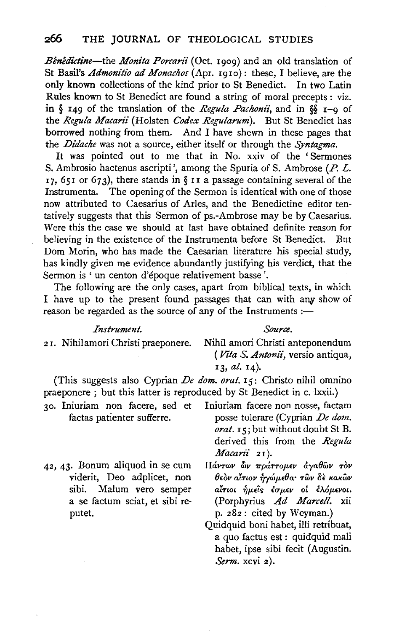*Bénédictine*—the *Monita Porcarii* (Oct. 1909) and an old translation of St Basil's *Admonitio ad Monachos* {Apr. 1910): these, I believe, are the **only** known collections of the kind prior to St Benedict. In two Latin Rules known to St Benedict are found a string of moral precepts : viz. in § 149 of the translation of the *Regula Pachonii*, and in §§ 1-9 of the *Regula Macarii* (Holsten *Codex Regularum).* But St Benedict has borrowed nothing from them. And I have shewn in these pages that the *Didache* was not a source, either itself or through the *Syntagma.* 

It was pointed out to me that in No. xxiv of the 'Sermones S. Ambrosio hactenus ascripti ', among the Spuria of S. Ambrose (P. L. 17, 651 or 673), there stands in  $\S$  11 a passage containing several of the Instrumenta. The opening of the Sermon is identical with one of those now attributed to Caesarius of Aries, and the Benedictine editor tentatively suggests that this Sermon of ps.-Ambrose may be by Caesarius. Were this the case we should at last have obtained definite reason for believing in the existence of the Instrumenta before St Benedict. But Dom Morin, who has made the Caesarian literature his special study, has kindly given me evidence abundantly justifying his verdict, that the Sermon is 'un centon d'epoque relativement basse '.

The following are the only cases, apart from biblical texts, in which I have up to the present found passages that can with any show of reason be regarded as the source of any of the Instruments : $-$ 

### *Instrument.*

*Source.* 

- <sup>2</sup>r. Nihilamori Christi praeponere.
- Nihil amori Christi anteponendum ( Vita S. Antonii, versio antiqua, 13, *al.* 14).

(This suggests also Cyprian *De dom. oral.* 15: Christo nihil omnino praeponere; but this latter is reproduced by St Benedict in c. lxxii.)

- 30. Iniuriam non facere, sed et Iniuriam facere non nosse, factam factas patienter sufferre. posse tolerare (Cyprian *De dom. oral.* r *5;* but without doubt St B. derived this from the *Regula Macani'* 21 ).
- 42, 43· Bonum aliquod in se cum viderit, Deo adplicet, non sibi. Malum vero semper a se factum sciat, et sibi reputet.
- *ITaVTwv fuv 7rparrop.£v &:ya8wv T6v*   $\theta$ εὸν αἶτιον ἡγώμεθα· τῶν δὲ κακῶν *ai'Twt* ~p.£ts *£up.£v oi* £A6p.wot. (Porphyrius *Ad Marcell.* xii p. 282: cited by Weyman.)
- Quidquid boni habet, illi retribuat, a quo factus est: quidquid mali habet, ipse sibi fecit (Augustin. *Serm.* xcvi 2).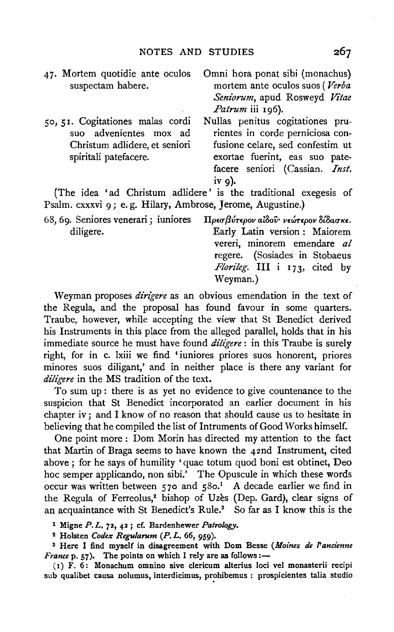- 47. Mortem quotidie ante oculos suspectam habere.
- 50, 51. Cogitationes malas cordi suo advenientes mox ad Christum adlidere, et seniori spiritali patefacere.
- Omni hora ponat sibi (monachus) mortem ante oculos suos ( *Verba Seniorum,* apud Rosweyd *Vitae*  Patrum iii 196).
- Nullas penitus cogitationes prurientes in corde perniciosa confusione celare, sed confestim ut exortae fuerint, eas suo patefacere seniori (Cassian. *Inst.* iv g).

(The idea 'ad Christum adlidere' is the traditional exegesis of Psalm. cxxxvi 9; e. g. Hilary, Ambrose, Jerome, Augustine.)

68, 6g. Seniores venerari; iuniores diligere. *ITp£u/3vr£pov a1Sov· v£tin-£pov stSauK£.*  Early Latin version : Maiorem vereri, minorem emendare *al*  regere. (Sosiades in Stobaeus *Florileg.* III i 173, cited by Weyman.)

Weyman proposes *dirigere* as an obvious emendation in the text of the Regula, and the proposal has found favour in some quarters. Traube, however, while accepting the view that St Benedict derived his Instruments in this place from the alleged parallel, holds that in his immediate source he must have found *diligere:* in this Traube is surely right, for in c. lxiii we find 'iuniores priores suos honorent, priores minores suos diligant,' and in neither place is there any variant for *diligere* in the MS tradition of the text.

To sum up : there is as yet no evidence to give countenance to the suspicion that St Benedict incorporated an earlier document in his chapter iv ; and I know of no reason that should cause us to hesitate in believing that he compiled the list of Intruments of Good Works himself.

One point more : Dom Morin has directed my attention to the fact that Martin of Braga seems to have known the 42nd Instrument, cited above ; for he says of humility 'quae totum quod boni est obtinet, Deo hoc semper applicando, non sibi.' The Opuscule in which these words occur was written between 570 and 580.<sup>1</sup> A decade earlier we find in the Regula of Ferreolus,<sup>2</sup> bishop of Uzes (Dep. Gard), clear signs of an acquaintance with St Benedict's Rule.<sup>3</sup> So far as I know this is the

1 Migne *P. L,* 72, 42 ; cf. Bardenhewer *Patrology.* 

<sup>2</sup> Holsten *Codex Regularum (P. L. 66*, 959).

s Here I find myself in disagreement with Dom Besse *(Moines de l'ancienne France* p. 57). The points on which I rely are as follows:-

( 1) F. 6: Monachum omnino sive clericum alterius loci vel monasterii recipi sub qualibet causa nolumus, interdicimus, prohibemus : prospicientes talia studio